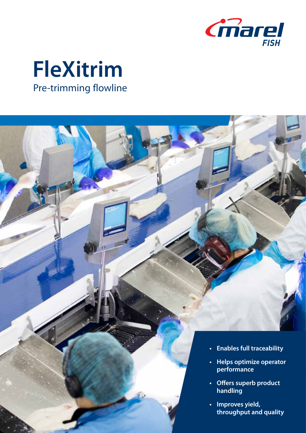

## **FleXitrim**  Pre-trimming flowline

- **• Enables full traceability**
- **• Helps optimize operator performance**
- **• Offers superb product handling**
- **• Improves yield, throughput and quality**